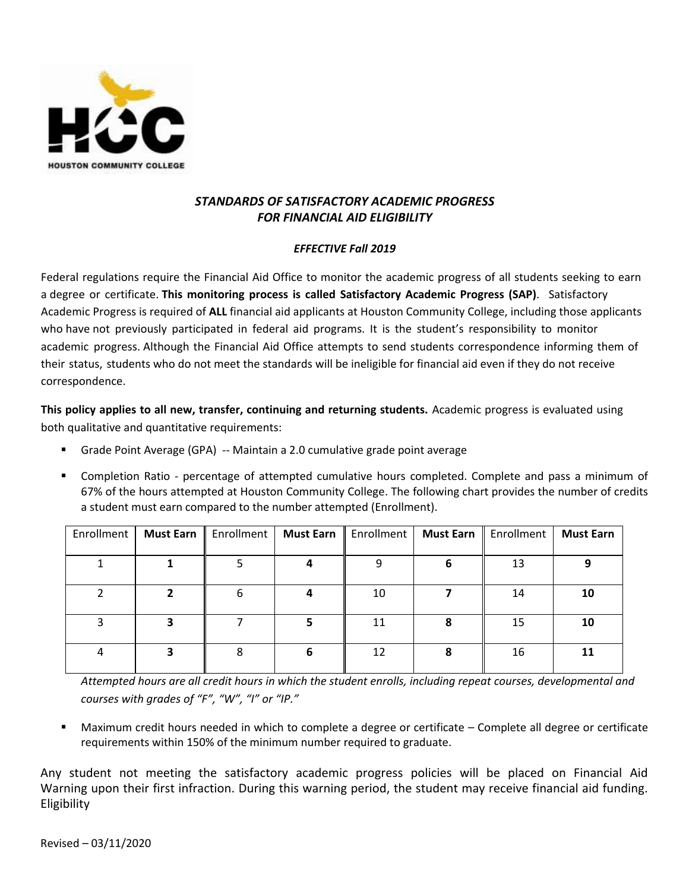

# *STANDARDS OF SATISFACTORY ACADEMIC PROGRESS FOR FINANCIAL AID ELIGIBILITY*

## *EFFECTIVE Fall 2019*

Federal regulations require the Financial Aid Office to monitor the academic progress of all students seeking to earn a degree or certificate. **This monitoring process is called Satisfactory Academic Progress (SAP)**. Satisfactory Academic Progress is required of **ALL** financial aid applicants at Houston Community College, including those applicants who have not previously participated in federal aid programs. It is the student's responsibility to monitor academic progress. Although the Financial Aid Office attempts to send students correspondence informing them of their status, students who do not meet the standards will be ineligible for financial aid even if they do not receive correspondence.

**This policy applies to all new, transfer, continuing and returning students.** Academic progress is evaluated using both qualitative and quantitative requirements:

- Grade Point Average (GPA) -- Maintain a 2.0 cumulative grade point average
- Completion Ratio percentage of attempted cumulative hours completed. Complete and pass a minimum of 67% of the hours attempted at Houston Community College. The following chart provides the number of credits a student must earn compared to the number attempted (Enrollment).

| Enrollment | <b>Must Earn</b> | Enrollment | <b>Must Earn</b> | Enrollment | <b>Must Earn</b> | Enrollment | <b>Must Earn</b> |
|------------|------------------|------------|------------------|------------|------------------|------------|------------------|
|            |                  |            |                  |            |                  |            |                  |
|            |                  |            |                  |            |                  | 13         | 9                |
|            |                  |            |                  |            |                  |            |                  |
|            |                  |            | 4                | 10         |                  | 14         | 10               |
|            |                  |            |                  |            |                  |            |                  |
|            |                  |            |                  | 11         |                  | 15         | 10               |
|            |                  |            |                  |            |                  |            |                  |
|            |                  |            |                  | 12         |                  | 16         | 11               |
|            |                  |            |                  |            |                  |            |                  |

*Attempted hours are all credit hours in which the student enrolls, including repeat courses, developmental and courses with grades of "F", "W", "I" or "IP."* 

 Maximum credit hours needed in which to complete a degree or certificate – Complete all degree or certificate requirements within 150% of the minimum number required to graduate.

Any student not meeting the satisfactory academic progress policies will be placed on Financial Aid Warning upon their first infraction. During this warning period, the student may receive financial aid funding. **Eligibility**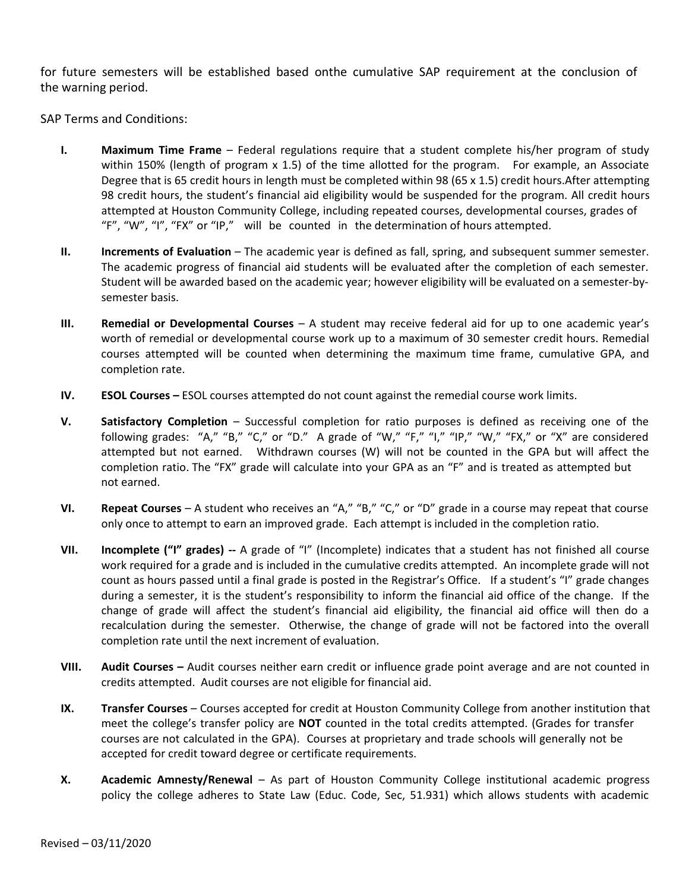for future semesters will be established based onthe cumulative SAP requirement at the conclusion of the warning period.

SAP Terms and Conditions:

- **I. Maximum Time Frame** Federal regulations require that a student complete his/her program of study within 150% (length of program x 1.5) of the time allotted for the program. For example, an Associate Degree that is 65 credit hours in length must be completed within 98 (65 x 1.5) credit hours.After attempting 98 credit hours, the student's financial aid eligibility would be suspended for the program. All credit hours attempted at Houston Community College, including repeated courses, developmental courses, grades of "F", "W", "I", "FX" or "IP," will be counted in the determination of hours attempted.
- **II. Increments of Evaluation** The academic year is defined as fall, spring, and subsequent summer semester. The academic progress of financial aid students will be evaluated after the completion of each semester. Student will be awarded based on the academic year; however eligibility will be evaluated on a semester-bysemester basis.
- **III. Remedial or Developmental Courses** A student may receive federal aid for up to one academic year's worth of remedial or developmental course work up to a maximum of 30 semester credit hours. Remedial courses attempted will be counted when determining the maximum time frame, cumulative GPA, and completion rate.
- **IV. ESOL Courses –** ESOL courses attempted do not count against the remedial course work limits.
- **V. Satisfactory Completion** Successful completion for ratio purposes is defined as receiving one of the following grades: "A," "B," "C," or "D." A grade of "W," "F," "I," "IP," "W," "FX," or "X" are considered attempted but not earned. Withdrawn courses (W) will not be counted in the GPA but will affect the completion ratio. The "FX" grade will calculate into your GPA as an "F" and is treated as attempted but not earned.
- **VI. Repeat Courses** A student who receives an "A," "B," "C," or "D" grade in a course may repeat that course only once to attempt to earn an improved grade. Each attempt is included in the completion ratio.
- **VII. Incomplete ("I" grades) --** A grade of "I" (Incomplete) indicates that a student has not finished all course work required for a grade and is included in the cumulative credits attempted. An incomplete grade will not count as hours passed until a final grade is posted in the Registrar's Office. If a student's "I" grade changes during a semester, it is the student's responsibility to inform the financial aid office of the change. If the change of grade will affect the student's financial aid eligibility, the financial aid office will then do a recalculation during the semester. Otherwise, the change of grade will not be factored into the overall completion rate until the next increment of evaluation.
- **VIII. Audit Courses –** Audit courses neither earn credit or influence grade point average and are not counted in credits attempted. Audit courses are not eligible for financial aid.
- **IX. Transfer Courses** Courses accepted for credit at Houston Community College from another institution that meet the college's transfer policy are **NOT** counted in the total credits attempted. (Grades for transfer courses are not calculated in the GPA). Courses at proprietary and trade schools will generally not be accepted for credit toward degree or certificate requirements.
- **X. Academic Amnesty/Renewal**  As part of Houston Community College institutional academic progress policy the college adheres to State Law (Educ. Code, Sec, 51.931) which allows students with academic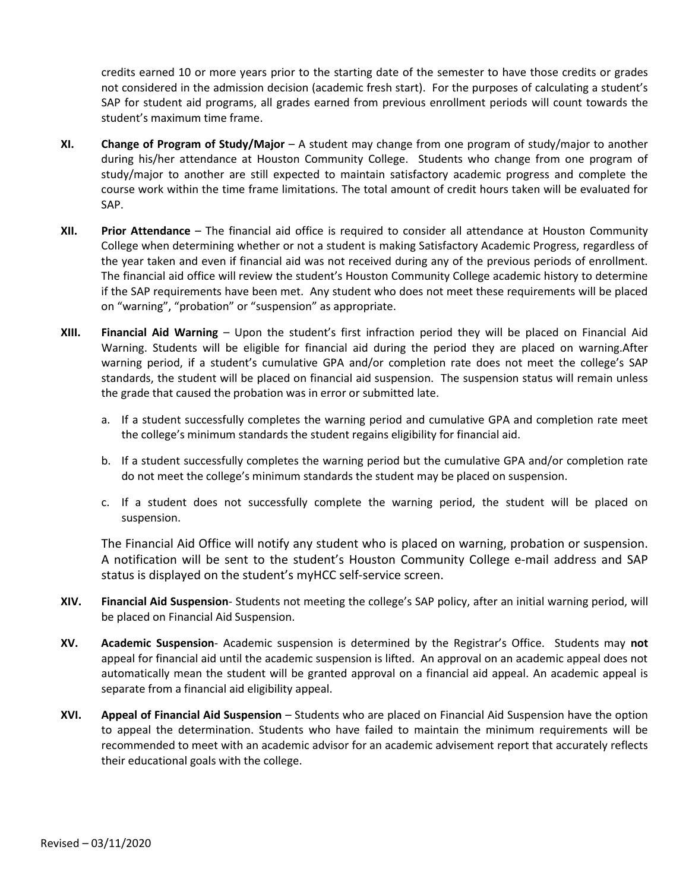credits earned 10 or more years prior to the starting date of the semester to have those credits or grades not considered in the admission decision (academic fresh start). For the purposes of calculating a student's SAP for student aid programs, all grades earned from previous enrollment periods will count towards the student's maximum time frame.

- **XI. Change of Program of Study/Major** A student may change from one program of study/major to another during his/her attendance at Houston Community College. Students who change from one program of study/major to another are still expected to maintain satisfactory academic progress and complete the course work within the time frame limitations. The total amount of credit hours taken will be evaluated for SAP.
- **XII. Prior Attendance** The financial aid office is required to consider all attendance at Houston Community College when determining whether or not a student is making Satisfactory Academic Progress, regardless of the year taken and even if financial aid was not received during any of the previous periods of enrollment. The financial aid office will review the student's Houston Community College academic history to determine if the SAP requirements have been met. Any student who does not meet these requirements will be placed on "warning", "probation" or "suspension" as appropriate.
- **XIII. Financial Aid Warning** Upon the student's first infraction period they will be placed on Financial Aid Warning. Students will be eligible for financial aid during the period they are placed on warning.After warning period, if a student's cumulative GPA and/or completion rate does not meet the college's SAP standards, the student will be placed on financial aid suspension. The suspension status will remain unless the grade that caused the probation was in error or submitted late.
	- a. If a student successfully completes the warning period and cumulative GPA and completion rate meet the college's minimum standards the student regains eligibility for financial aid.
	- b. If a student successfully completes the warning period but the cumulative GPA and/or completion rate do not meet the college's minimum standards the student may be placed on suspension.
	- c. If a student does not successfully complete the warning period, the student will be placed on suspension.

The Financial Aid Office will notify any student who is placed on warning, probation or suspension. A notification will be sent to the student's Houston Community College e-mail address and SAP status is displayed on the student's myHCC self-service screen.

- **XIV. Financial Aid Suspension** Students not meeting the college's SAP policy, after an initial warning period, will be placed on Financial Aid Suspension.
- **XV. Academic Suspension** Academic suspension is determined by the Registrar's Office. Students may **not** appeal for financial aid until the academic suspension is lifted. An approval on an academic appeal does not automatically mean the student will be granted approval on a financial aid appeal. An academic appeal is separate from a financial aid eligibility appeal.
- **XVI. Appeal of Financial Aid Suspension** Students who are placed on Financial Aid Suspension have the option to appeal the determination. Students who have failed to maintain the minimum requirements will be recommended to meet with an academic advisor for an academic advisement report that accurately reflects their educational goals with the college.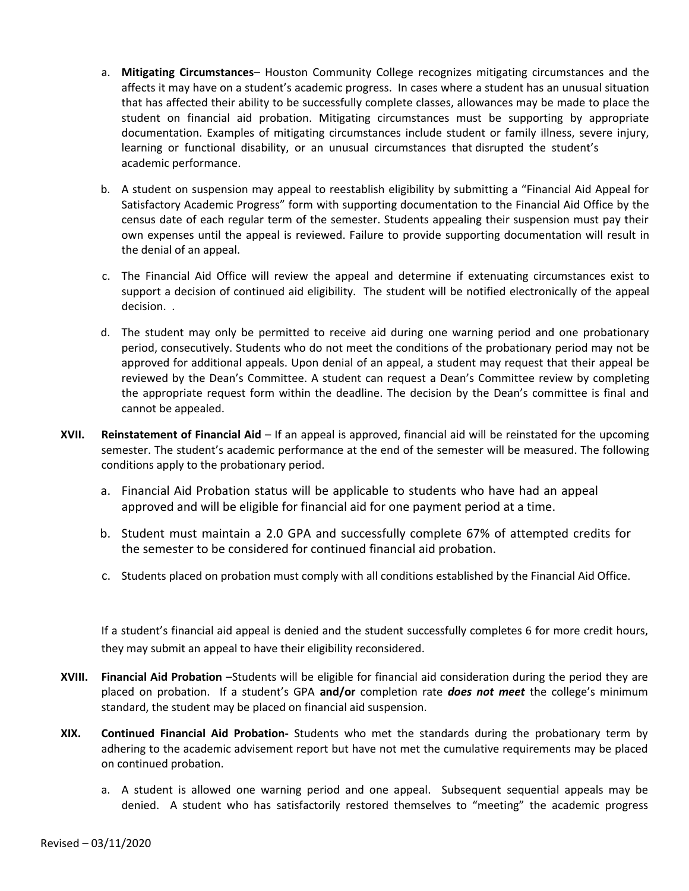- a. **Mitigating Circumstances** Houston Community College recognizes mitigating circumstances and the affects it may have on a student's academic progress. In cases where a student has an unusual situation that has affected their ability to be successfully complete classes, allowances may be made to place the student on financial aid probation. Mitigating circumstances must be supporting by appropriate documentation. Examples of mitigating circumstances include student or family illness, severe injury, learning or functional disability, or an unusual circumstances that disrupted the student's academic performance.
- b. A student on suspension may appeal to reestablish eligibility by submitting a "Financial Aid Appeal for Satisfactory Academic Progress" form with supporting documentation to the Financial Aid Office by the census date of each regular term of the semester. Students appealing their suspension must pay their own expenses until the appeal is reviewed. Failure to provide supporting documentation will result in the denial of an appeal.
- c. The Financial Aid Office will review the appeal and determine if extenuating circumstances exist to support a decision of continued aid eligibility. The student will be notified electronically of the appeal decision. .
- d. The student may only be permitted to receive aid during one warning period and one probationary period, consecutively. Students who do not meet the conditions of the probationary period may not be approved for additional appeals. Upon denial of an appeal, a student may request that their appeal be reviewed by the Dean's Committee. A student can request a Dean's Committee review by completing the appropriate request form within the deadline. The decision by the Dean's committee is final and cannot be appealed.
- **XVII. Reinstatement of Financial Aid** If an appeal is approved, financial aid will be reinstated for the upcoming semester. The student's academic performance at the end of the semester will be measured. The following conditions apply to the probationary period.
	- a. Financial Aid Probation status will be applicable to students who have had an appeal approved and will be eligible for financial aid for one payment period at a time.
	- b. Student must maintain a 2.0 GPA and successfully complete 67% of attempted credits for the semester to be considered for continued financial aid probation.
	- c. Students placed on probation must comply with all conditions established by the Financial Aid Office.

If a student's financial aid appeal is denied and the student successfully completes 6 for more credit hours, they may submit an appeal to have their eligibility reconsidered.

- **XVIII. Financial Aid Probation** –Students will be eligible for financial aid consideration during the period they are placed on probation. If a student's GPA **and/or** completion rate *does not meet* the college's minimum standard, the student may be placed on financial aid suspension.
- **XIX. Continued Financial Aid Probation-** Students who met the standards during the probationary term by adhering to the academic advisement report but have not met the cumulative requirements may be placed on continued probation.
	- a. A student is allowed one warning period and one appeal. Subsequent sequential appeals may be denied. A student who has satisfactorily restored themselves to "meeting" the academic progress